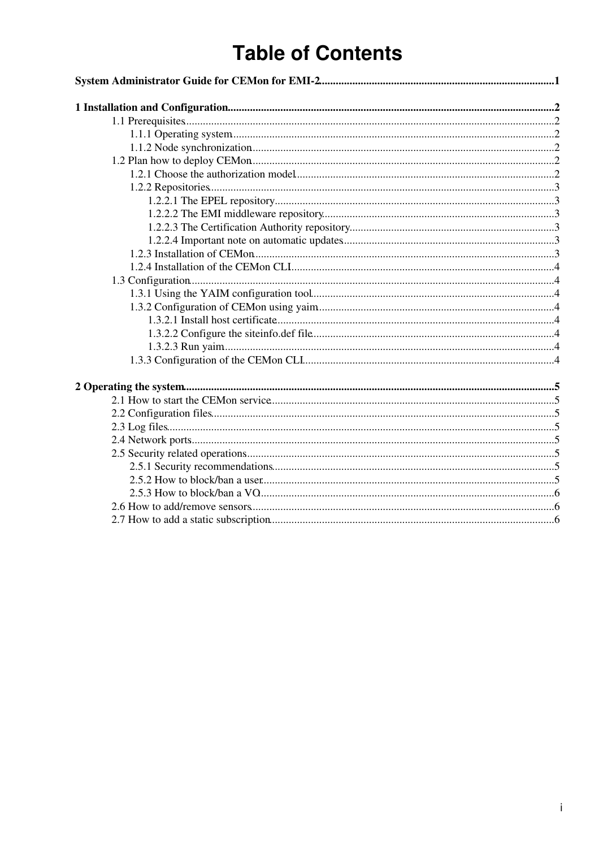# **Table of Contents**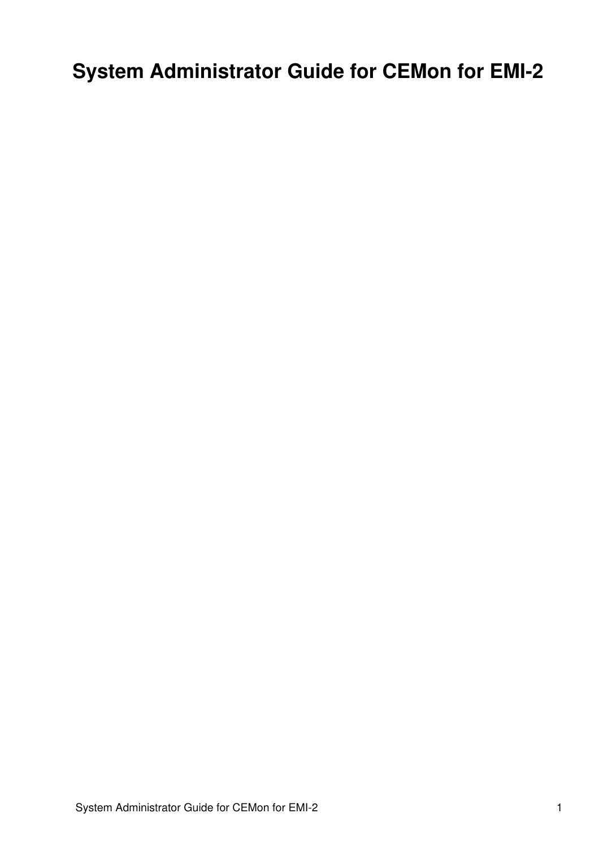# <span id="page-1-0"></span>**System Administrator Guide for CEMon for EMI-2**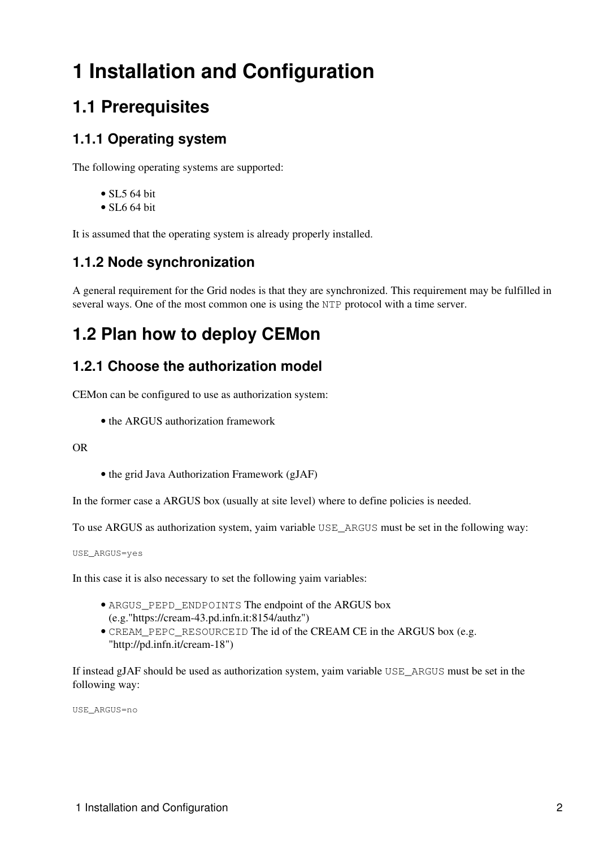# <span id="page-2-0"></span>**1 Installation and Configuration**

# <span id="page-2-1"></span>**1.1 Prerequisites**

### <span id="page-2-2"></span>**1.1.1 Operating system**

The following operating systems are supported:

- SL5 64 bit
- $\bullet$  SL6 64 bit

It is assumed that the operating system is already properly installed.

### <span id="page-2-3"></span>**1.1.2 Node synchronization**

A general requirement for the Grid nodes is that they are synchronized. This requirement may be fulfilled in several ways. One of the most common one is using the NTP protocol with a time server.

# <span id="page-2-4"></span>**1.2 Plan how to deploy CEMon**

### <span id="page-2-5"></span>**1.2.1 Choose the authorization model**

CEMon can be configured to use as authorization system:

• the ARGUS authorization framework

OR

• the grid Java Authorization Framework (gJAF)

In the former case a ARGUS box (usually at site level) where to define policies is needed.

To use ARGUS as authorization system, yaim variable USE\_ARGUS must be set in the following way:

USE\_ARGUS=yes

In this case it is also necessary to set the following yaim variables:

- ARGUS\_PEPD\_ENDPOINTS The endpoint of the ARGUS box (e.g."https://cream-43.pd.infn.it:8154/authz")
- CREAM\_PEPC\_RESOURCEID The id of the CREAM CE in the ARGUS box (e.g. "http://pd.infn.it/cream-18")

If instead gJAF should be used as authorization system, yaim variable USE\_ARGUS must be set in the following way:

USE\_ARGUS=no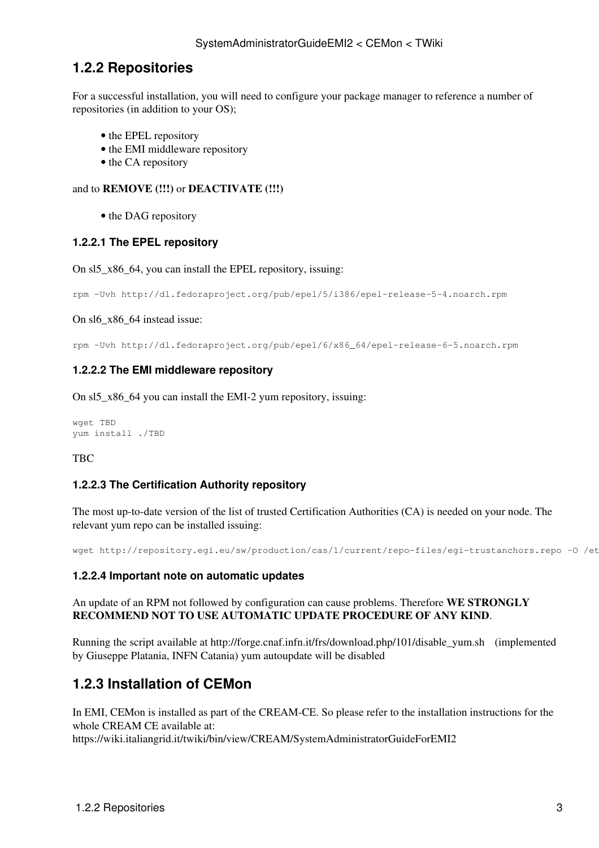#### <span id="page-3-0"></span>**1.2.2 Repositories**

For a successful installation, you will need to configure your package manager to reference a number of repositories (in addition to your OS);

- the EPEL repository
- the EMI middleware repository
- the CA repository

#### and to **REMOVE (!!!)** or **DEACTIVATE (!!!)**

• the DAG repository

#### <span id="page-3-1"></span>**1.2.2.1 The EPEL repository**

On sl5\_x86\_64, you can install the EPEL repository, issuing:

```
rpm -Uvh http://dl.fedoraproject.org/pub/epel/5/i386/epel-release-5-4.noarch.rpm
```
On sl6\_x86\_64 instead issue:

rpm -Uvh http://dl.fedoraproject.org/pub/epel/6/x86\_64/epel-release-6-5.noarch.rpm

#### <span id="page-3-2"></span>**1.2.2.2 The EMI middleware repository**

On sl5\_x86\_64 you can install the EMI-2 yum repository, issuing:

```
wget TBD
yum install ./TBD
```
#### TBC

#### <span id="page-3-3"></span>**1.2.2.3 The Certification Authority repository**

The most up-to-date version of the list of trusted Certification Authorities (CA) is needed on your node. The relevant yum repo can be installed issuing:

wget http://repository.egi.eu/sw/production/cas/1/current/repo-files/egi-trustanchors.repo -O /et

#### <span id="page-3-4"></span>**1.2.2.4 Important note on automatic updates**

An update of an RPM not followed by configuration can cause problems. Therefore **WE STRONGLY RECOMMEND NOT TO USE AUTOMATIC UPDATE PROCEDURE OF ANY KIND**.

Running the script available at [http://forge.cnaf.infn.it/frs/download.php/101/disable\\_yum.sh](http://forge.cnaf.infn.it/frs/download.php/101/disable_yum.sh) (implemented by Giuseppe Platania, INFN Catania) yum autoupdate will be disabled

### <span id="page-3-5"></span>**1.2.3 Installation of CEMon**

In EMI, CEMon is installed as part of the CREAM-CE. So please refer to the installation instructions for the whole CREAM CE available at:

<https://wiki.italiangrid.it/twiki/bin/view/CREAM/SystemAdministratorGuideForEMI2>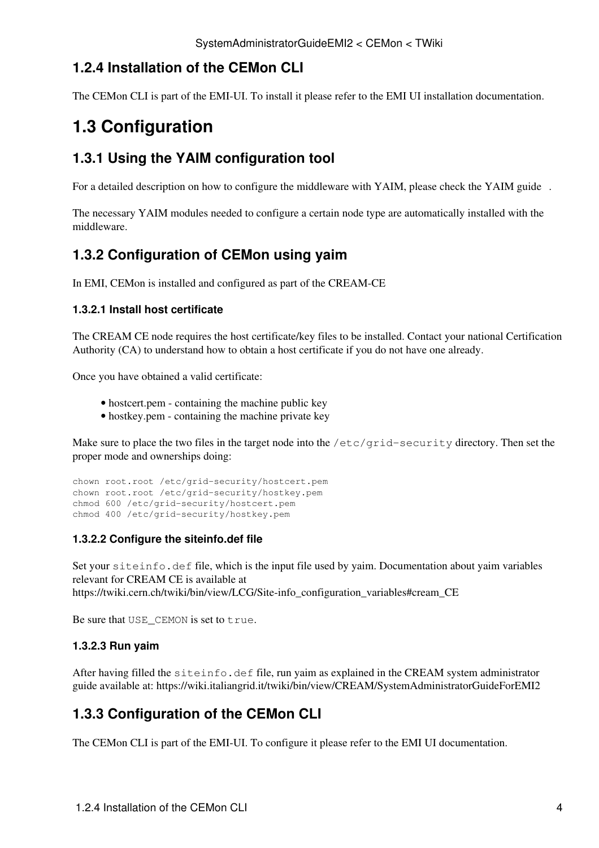### <span id="page-4-0"></span>**1.2.4 Installation of the CEMon CLI**

The CEMon CLI is part of the EMI-UI. To install it please refer to the EMI UI installation documentation.

## <span id="page-4-1"></span>**1.3 Configuration**

### <span id="page-4-2"></span>**1.3.1 Using the YAIM configuration tool**

For a detailed description on how to configure the middleware with YAIM, please check the [YAIM guide](https://twiki.cern.ch/twiki/bin/view/LCG/YaimGuide400) .

The necessary YAIM modules needed to configure a certain node type are automatically installed with the middleware.

### <span id="page-4-3"></span>**1.3.2 Configuration of CEMon using yaim**

In EMI, CEMon is installed and configured as part of the CREAM-CE

#### <span id="page-4-4"></span>**1.3.2.1 Install host certificate**

The CREAM CE node requires the host certificate/key files to be installed. Contact your national Certification Authority (CA) to understand how to obtain a host certificate if you do not have one already.

Once you have obtained a valid certificate:

- hostcert.pem containing the machine public key
- hostkey.pem containing the machine private key

Make sure to place the two files in the target node into the /etc/grid-security directory. Then set the proper mode and ownerships doing:

```
chown root.root /etc/grid-security/hostcert.pem
chown root.root /etc/grid-security/hostkey.pem
chmod 600 /etc/grid-security/hostcert.pem
chmod 400 /etc/grid-security/hostkey.pem
```
#### <span id="page-4-5"></span>**1.3.2.2 Configure the siteinfo.def file**

Set your siteinfo.def file, which is the input file used by yaim. Documentation about yaim variables relevant for CREAM CE is available at [https://twiki.cern.ch/twiki/bin/view/LCG/Site-info\\_configuration\\_variables#cream\\_CE](https://twiki.cern.ch/twiki/bin/view/LCG/Site-info_configuration_variables#cream_CE)

Be sure that USE\_CEMON is set to true.

#### <span id="page-4-6"></span>**1.3.2.3 Run yaim**

After having filled the  $s$ iteinfo.def file, run yaim as explained in the CREAM system administrator guide available at:<https://wiki.italiangrid.it/twiki/bin/view/CREAM/SystemAdministratorGuideForEMI2>

### <span id="page-4-7"></span>**1.3.3 Configuration of the CEMon CLI**

The CEMon CLI is part of the EMI-UI. To configure it please refer to the EMI UI documentation.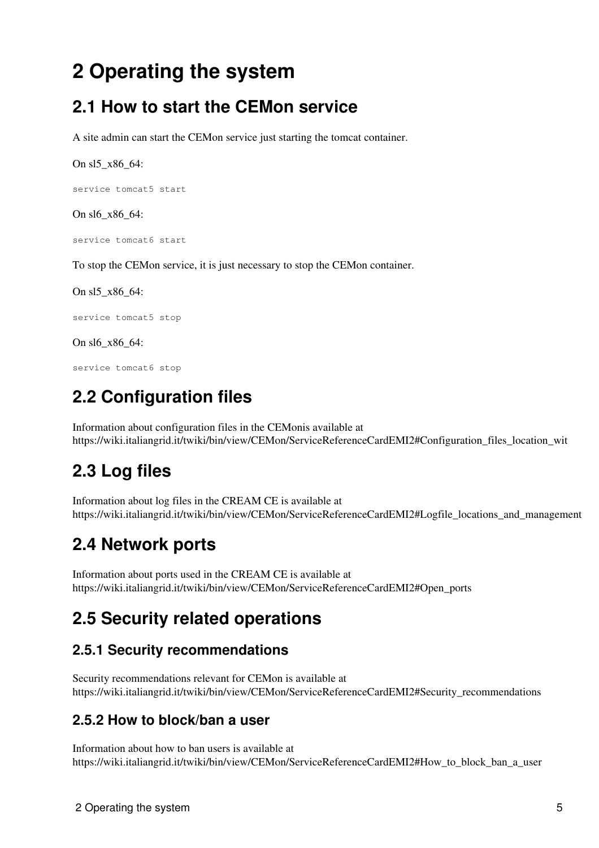# <span id="page-5-0"></span>**2 Operating the system**

## <span id="page-5-1"></span>**2.1 How to start the CEMon service**

A site admin can start the CEMon service just starting the tomcat container.

On sl5\_x86\_64:

service tomcat5 start

On sl6 x86 64:

service tomcat6 start

To stop the CEMon service, it is just necessary to stop the CEMon container.

On sl5\_x86\_64:

service tomcat5 stop

On sl6\_x86\_64:

service tomcat6 stop

# <span id="page-5-2"></span>**2.2 Configuration files**

Information about configuration files in the CEMonis available at [https://wiki.italiangrid.it/twiki/bin/view/CEMon/ServiceReferenceCardEMI2#Configuration\\_files\\_location\\_wit](https://wiki.italiangrid.it/twiki/bin/view/CEMon/ServiceReferenceCardEMI2#Configuration_files_location_wit)

# <span id="page-5-3"></span>**2.3 Log files**

Information about log files in the CREAM CE is available at [https://wiki.italiangrid.it/twiki/bin/view/CEMon/ServiceReferenceCardEMI2#Logfile\\_locations\\_and\\_management](https://wiki.italiangrid.it/twiki/bin/view/CEMon/ServiceReferenceCardEMI2#Logfile_locations_and_management)

# <span id="page-5-4"></span>**2.4 Network ports**

Information about ports used in the CREAM CE is available at [https://wiki.italiangrid.it/twiki/bin/view/CEMon/ServiceReferenceCardEMI2#Open\\_ports](https://wiki.italiangrid.it/twiki/bin/view/CEMon/ServiceReferenceCardEMI2#Open_ports)

# <span id="page-5-5"></span>**2.5 Security related operations**

### <span id="page-5-6"></span>**2.5.1 Security recommendations**

Security recommendations relevant for CEMon is available at [https://wiki.italiangrid.it/twiki/bin/view/CEMon/ServiceReferenceCardEMI2#Security\\_recommendations](https://wiki.italiangrid.it/twiki/bin/view/CEMon/ServiceReferenceCardEMI2#Security_recommendations)

### <span id="page-5-7"></span>**2.5.2 How to block/ban a user**

Information about how to ban users is available at [https://wiki.italiangrid.it/twiki/bin/view/CEMon/ServiceReferenceCardEMI2#How\\_to\\_block\\_ban\\_a\\_user](https://wiki.italiangrid.it/twiki/bin/view/CEMon/ServiceReferenceCardEMI2#How_to_block_ban_a_user)